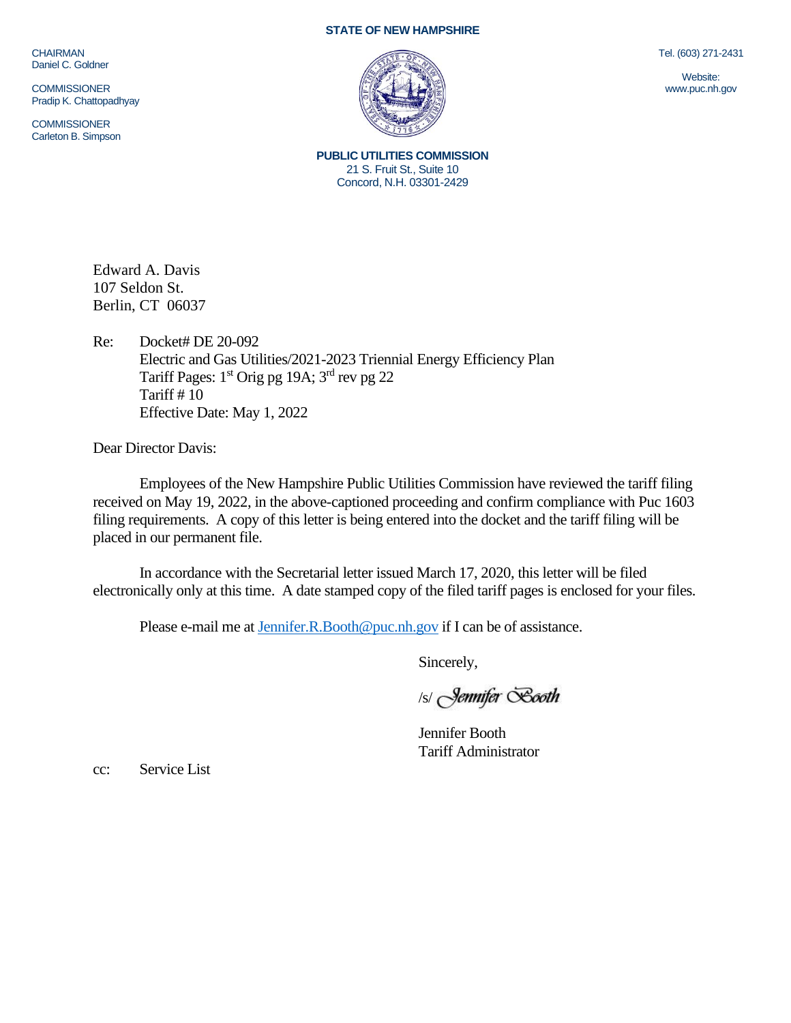## **STATE OF NEW HAMPSHIRE**

**CHAIRMAN** Daniel C. Goldner

**COMMISSIONER** Pradip K. Chattopadhyay

**COMMISSIONER** Carleton B. Simpson



Tel. (603) 271-2431

Website: www.puc.nh.gov

**PUBLIC UTILITIES COMMISSION** 21 S. Fruit St., Suite 10 Concord, N.H. 03301-2429

Edward A. Davis 107 Seldon St. Berlin, CT 06037

Re: Docket# DE 20-092 Electric and Gas Utilities/2021-2023 Triennial Energy Efficiency Plan Tariff Pages: 1<sup>st</sup> Orig pg 19A; 3<sup>rd</sup> rev pg 22 Tariff # 10 Effective Date: May 1, 2022

Dear Director Davis:

Employees of the New Hampshire Public Utilities Commission have reviewed the tariff filing received on May 19, 2022, in the above-captioned proceeding and confirm compliance with Puc 1603 filing requirements. A copy of this letter is being entered into the docket and the tariff filing will be placed in our permanent file.

In accordance with the Secretarial letter issued March 17, 2020, this letter will be filed electronically only at this time. A date stamped copy of the filed tariff pages is enclosed for your files.

Please e-mail me a[t Jennifer.R.Booth@puc.nh.gov](mailto:Jennifer.R.Booth@puc.nh.gov) if I can be of assistance.

Sincerely,

/s/ Jennifer Booth

Jennifer Booth Tariff Administrator

cc: Service List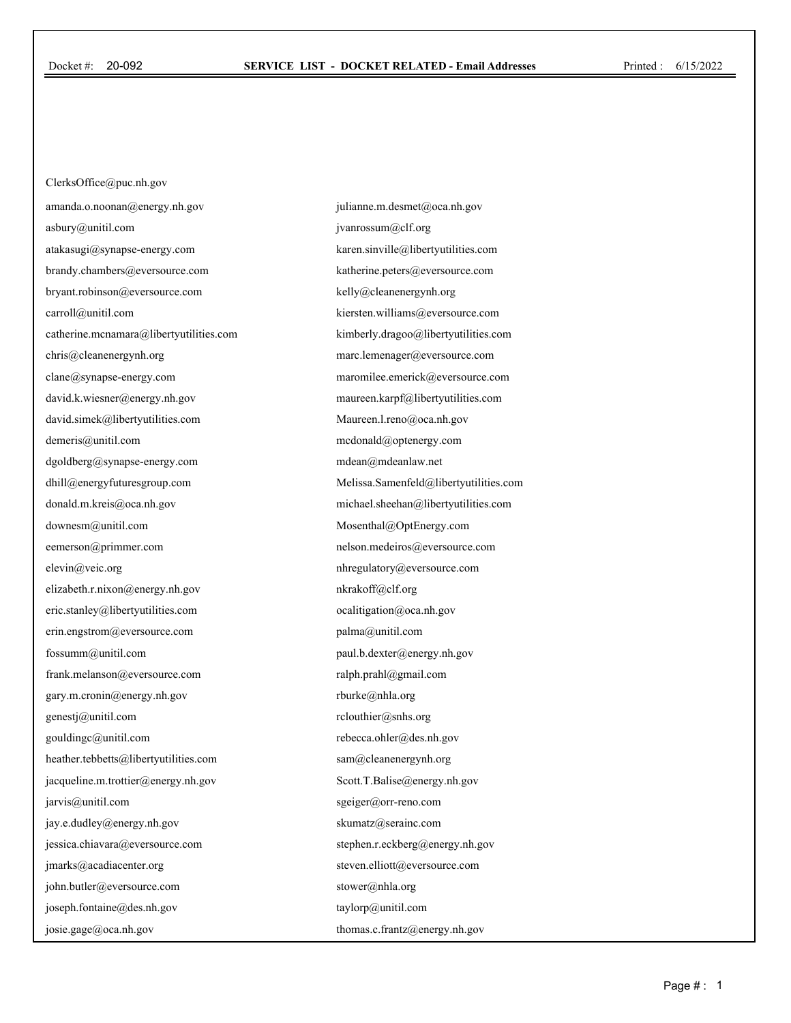ClerksOffice@puc.nh.gov amanda.o.noonan@energy.nh.gov asbury@unitil.com atakasugi@synapse-energy.com brandy.chambers@eversource.com bryant.robinson@eversource.com carroll@unitil.com catherine.mcnamara@libertyutilities.com chris@cleanenergynh.org clane@synapse-energy.com david.k.wiesner@energy.nh.gov david.simek@libertyutilities.com demeris@unitil.com dgoldberg@synapse-energy.com dhill@energyfuturesgroup.com donald.m.kreis@oca.nh.gov downesm@unitil.com eemerson@primmer.com elevin@veic.org elizabeth.r.nixon@energy.nh.gov eric.stanley@libertyutilities.com erin.engstrom@eversource.com fossumm@unitil.com frank.melanson@eversource.com gary.m.cronin@energy.nh.gov genestj@unitil.com gouldingc@unitil.com heather.tebbetts@libertyutilities.com jacqueline.m.trottier@energy.nh.gov jarvis@unitil.com jay.e.dudley@energy.nh.gov jessica.chiavara@eversource.com jmarks@acadiacenter.org john.butler@eversource.com joseph.fontaine@des.nh.gov josie.gage@oca.nh.gov

julianne.m.desmet@oca.nh.gov jvanrossum@clf.org karen.sinville@libertyutilities.com katherine.peters@eversource.com kelly@cleanenergynh.org kiersten.williams@eversource.com kimberly.dragoo@libertyutilities.com marc.lemenager@eversource.com maromilee.emerick@eversource.com maureen.karpf@libertyutilities.com Maureen.l.reno@oca.nh.gov mcdonald@optenergy.com mdean@mdeanlaw.net Melissa.Samenfeld@libertyutilities.com michael.sheehan@libertyutilities.com Mosenthal@OptEnergy.com nelson.medeiros@eversource.com nhregulatory@eversource.com nkrakoff@clf.org ocalitigation@oca.nh.gov palma@unitil.com paul.b.dexter@energy.nh.gov ralph.prahl@gmail.com rburke@nhla.org rclouthier@snhs.org rebecca.ohler@des.nh.gov sam@cleanenergynh.org Scott.T.Balise@energy.nh.gov sgeiger@orr-reno.com skumatz@serainc.com stephen.r.eckberg@energy.nh.gov steven.elliott@eversource.com stower@nhla.org taylorp@unitil.com thomas.c.frantz@energy.nh.gov